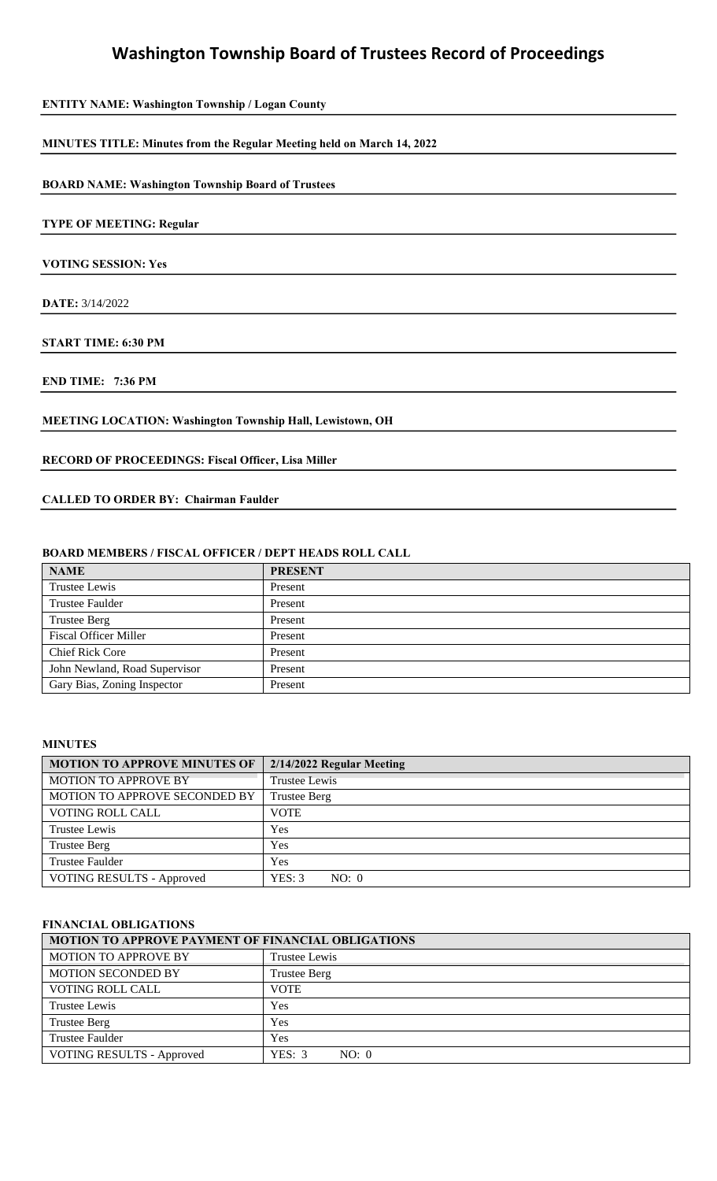| <b>ENTITY NAME: Washington Township / Logan County</b> |  |  |  |  |
|--------------------------------------------------------|--|--|--|--|
|--------------------------------------------------------|--|--|--|--|

#### **MINUTES TITLE: Minutes from the Regular Meeting held on March 14, 2022**

**BOARD NAME: Washington Township Board of Trustees** 

### **TYPE OF MEETING: Regular**

**VOTING SESSION: Yes** 

**DATE:** 3/14/2022

**START TIME: 6:30 PM** 

**END TIME: 7:36 PM** 

## **MEETING LOCATION: Washington Township Hall, Lewistown, OH**

#### **RECORD OF PROCEEDINGS: Fiscal Officer, Lisa Miller**

#### **CALLED TO ORDER BY: Chairman Faulder**

#### **BOARD MEMBERS / FISCAL OFFICER / DEPT HEADS ROLL CALL**

| <b>NAME</b>                   | <b>PRESENT</b> |
|-------------------------------|----------------|
| Trustee Lewis                 | Present        |
| <b>Trustee Faulder</b>        | Present        |
| <b>Trustee Berg</b>           | Present        |
| <b>Fiscal Officer Miller</b>  | Present        |
| <b>Chief Rick Core</b>        | Present        |
| John Newland, Road Supervisor | Present        |
| Gary Bias, Zoning Inspector   | Present        |

#### **MINUTES**

| <b>MOTION TO APPROVE MINUTES OF</b> | 2/14/2022 Regular Meeting |
|-------------------------------------|---------------------------|
| <b>MOTION TO APPROVE BY</b>         | <b>Trustee Lewis</b>      |
| MOTION TO APPROVE SECONDED BY       | <b>Trustee Berg</b>       |
| <b>VOTING ROLL CALL</b>             | <b>VOTE</b>               |
| Trustee Lewis                       | Yes                       |
| <b>Trustee Berg</b>                 | Yes                       |
| <b>Trustee Faulder</b>              | Yes                       |
| <b>VOTING RESULTS - Approved</b>    | YES: 3<br>NO: 0           |

#### **FINANCIAL OBLIGATIONS**

| MOTION TO APPROVE PAYMENT OF FINANCIAL OBLIGATIONS |                     |  |
|----------------------------------------------------|---------------------|--|
| <b>MOTION TO APPROVE BY</b>                        | Trustee Lewis       |  |
| <b>MOTION SECONDED BY</b>                          | <b>Trustee Berg</b> |  |
| <b>VOTING ROLL CALL</b>                            | <b>VOTE</b>         |  |
| Trustee Lewis                                      | Yes                 |  |
| <b>Trustee Berg</b>                                | Yes                 |  |
| <b>Trustee Faulder</b>                             | <b>Yes</b>          |  |
| <b>VOTING RESULTS - Approved</b>                   | YES: 3<br>NO: 0     |  |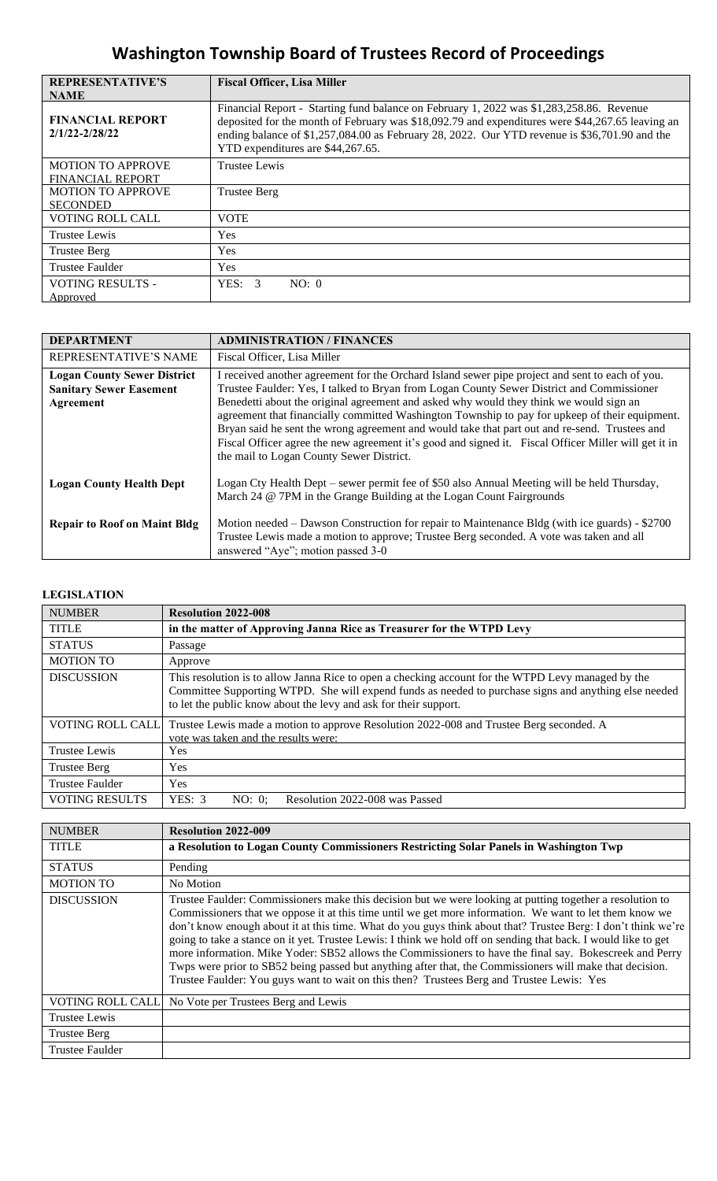| <b>REPRESENTATIVE'S</b>                       | <b>Fiscal Officer, Lisa Miller</b>                                                                                                                                                                                                                                                                                                 |
|-----------------------------------------------|------------------------------------------------------------------------------------------------------------------------------------------------------------------------------------------------------------------------------------------------------------------------------------------------------------------------------------|
| <b>NAME</b>                                   |                                                                                                                                                                                                                                                                                                                                    |
| <b>FINANCIAL REPORT</b><br>$2/1/22 - 2/28/22$ | Financial Report - Starting fund balance on February 1, 2022 was \$1,283,258.86. Revenue<br>deposited for the month of February was \$18,092.79 and expenditures were \$44,267.65 leaving an<br>ending balance of \$1,257,084.00 as February 28, 2022. Our YTD revenue is \$36,701.90 and the<br>YTD expenditures are \$44,267.65. |
| <b>MOTION TO APPROVE</b>                      | Trustee Lewis                                                                                                                                                                                                                                                                                                                      |
| <b>FINANCIAL REPORT</b>                       |                                                                                                                                                                                                                                                                                                                                    |
| <b>MOTION TO APPROVE</b>                      | Trustee Berg                                                                                                                                                                                                                                                                                                                       |
| <b>SECONDED</b>                               |                                                                                                                                                                                                                                                                                                                                    |
| <b>VOTING ROLL CALL</b>                       | <b>VOTE</b>                                                                                                                                                                                                                                                                                                                        |
| Trustee Lewis                                 | Yes                                                                                                                                                                                                                                                                                                                                |
| <b>Trustee Berg</b>                           | Yes                                                                                                                                                                                                                                                                                                                                |
| Trustee Faulder                               | Yes                                                                                                                                                                                                                                                                                                                                |
| <b>VOTING RESULTS -</b>                       | YES: 3<br>NO: 0                                                                                                                                                                                                                                                                                                                    |
| Approved                                      |                                                                                                                                                                                                                                                                                                                                    |

| <b>DEPARTMENT</b>                   | <b>ADMINISTRATION / FINANCES</b>                                                                                                                                                                                                                                                                                                                                                                                                              |
|-------------------------------------|-----------------------------------------------------------------------------------------------------------------------------------------------------------------------------------------------------------------------------------------------------------------------------------------------------------------------------------------------------------------------------------------------------------------------------------------------|
| REPRESENTATIVE'S NAME               | Fiscal Officer, Lisa Miller                                                                                                                                                                                                                                                                                                                                                                                                                   |
| <b>Logan County Sewer District</b>  | I received another agreement for the Orchard Island sewer pipe project and sent to each of you.                                                                                                                                                                                                                                                                                                                                               |
| <b>Sanitary Sewer Easement</b>      | Trustee Faulder: Yes, I talked to Bryan from Logan County Sewer District and Commissioner                                                                                                                                                                                                                                                                                                                                                     |
| Agreement                           | Benedetti about the original agreement and asked why would they think we would sign an<br>agreement that financially committed Washington Township to pay for upkeep of their equipment.<br>Bryan said he sent the wrong agreement and would take that part out and re-send. Trustees and<br>Fiscal Officer agree the new agreement it's good and signed it. Fiscal Officer Miller will get it in<br>the mail to Logan County Sewer District. |
| <b>Logan County Health Dept</b>     | Logan Cty Health Dept – sewer permit fee of \$50 also Annual Meeting will be held Thursday,<br>March 24 @ 7PM in the Grange Building at the Logan Count Fairgrounds                                                                                                                                                                                                                                                                           |
| <b>Repair to Roof on Maint Bldg</b> | Motion needed – Dawson Construction for repair to Maintenance Bldg (with ice guards) - \$2700<br>Trustee Lewis made a motion to approve; Trustee Berg seconded. A vote was taken and all<br>answered "Aye"; motion passed 3-0                                                                                                                                                                                                                 |

## **LEGISLATION**

| <b>NUMBER</b>           | <b>Resolution 2022-008</b>                                                                                                                                                                                                                                                      |
|-------------------------|---------------------------------------------------------------------------------------------------------------------------------------------------------------------------------------------------------------------------------------------------------------------------------|
| <b>TITLE</b>            | in the matter of Approving Janna Rice as Treasurer for the WTPD Levy                                                                                                                                                                                                            |
| <b>STATUS</b>           | Passage                                                                                                                                                                                                                                                                         |
| <b>MOTION TO</b>        | Approve                                                                                                                                                                                                                                                                         |
| <b>DISCUSSION</b>       | This resolution is to allow Janna Rice to open a checking account for the WTPD Levy managed by the<br>Committee Supporting WTPD. She will expend funds as needed to purchase signs and anything else needed<br>to let the public know about the levy and ask for their support. |
| <b>VOTING ROLL CALL</b> | Trustee Lewis made a motion to approve Resolution 2022-008 and Trustee Berg seconded. A<br>vote was taken and the results were:                                                                                                                                                 |
| <b>Trustee Lewis</b>    | <b>Yes</b>                                                                                                                                                                                                                                                                      |
| <b>Trustee Berg</b>     | <b>Yes</b>                                                                                                                                                                                                                                                                      |
| <b>Trustee Faulder</b>  | <b>Yes</b>                                                                                                                                                                                                                                                                      |
| <b>VOTING RESULTS</b>   | YES: 3<br>Resolution 2022-008 was Passed<br>NO: 0                                                                                                                                                                                                                               |

| <b>NUMBER</b>           | <b>Resolution 2022-009</b>                                                                                                                                                                                                                                                                                                                                                                                                                                                                                                                                                                                                                                                                                                                                                  |
|-------------------------|-----------------------------------------------------------------------------------------------------------------------------------------------------------------------------------------------------------------------------------------------------------------------------------------------------------------------------------------------------------------------------------------------------------------------------------------------------------------------------------------------------------------------------------------------------------------------------------------------------------------------------------------------------------------------------------------------------------------------------------------------------------------------------|
| <b>TITLE</b>            | a Resolution to Logan County Commissioners Restricting Solar Panels in Washington Twp                                                                                                                                                                                                                                                                                                                                                                                                                                                                                                                                                                                                                                                                                       |
| <b>STATUS</b>           | Pending                                                                                                                                                                                                                                                                                                                                                                                                                                                                                                                                                                                                                                                                                                                                                                     |
| <b>MOTION TO</b>        | No Motion                                                                                                                                                                                                                                                                                                                                                                                                                                                                                                                                                                                                                                                                                                                                                                   |
| <b>DISCUSSION</b>       | Trustee Faulder: Commissioners make this decision but we were looking at putting together a resolution to<br>Commissioners that we oppose it at this time until we get more information. We want to let them know we<br>don't know enough about it at this time. What do you guys think about that? Trustee Berg: I don't think we're<br>going to take a stance on it yet. Trustee Lewis: I think we hold off on sending that back. I would like to get<br>more information. Mike Yoder: SB52 allows the Commissioners to have the final say. Bokescreek and Perry<br>Twps were prior to SB52 being passed but anything after that, the Commissioners will make that decision.<br>Trustee Faulder: You guys want to wait on this then? Trustees Berg and Trustee Lewis: Yes |
| <b>VOTING ROLL CALL</b> | No Vote per Trustees Berg and Lewis                                                                                                                                                                                                                                                                                                                                                                                                                                                                                                                                                                                                                                                                                                                                         |
| Trustee Lewis           |                                                                                                                                                                                                                                                                                                                                                                                                                                                                                                                                                                                                                                                                                                                                                                             |
| <b>Trustee Berg</b>     |                                                                                                                                                                                                                                                                                                                                                                                                                                                                                                                                                                                                                                                                                                                                                                             |
| <b>Trustee Faulder</b>  |                                                                                                                                                                                                                                                                                                                                                                                                                                                                                                                                                                                                                                                                                                                                                                             |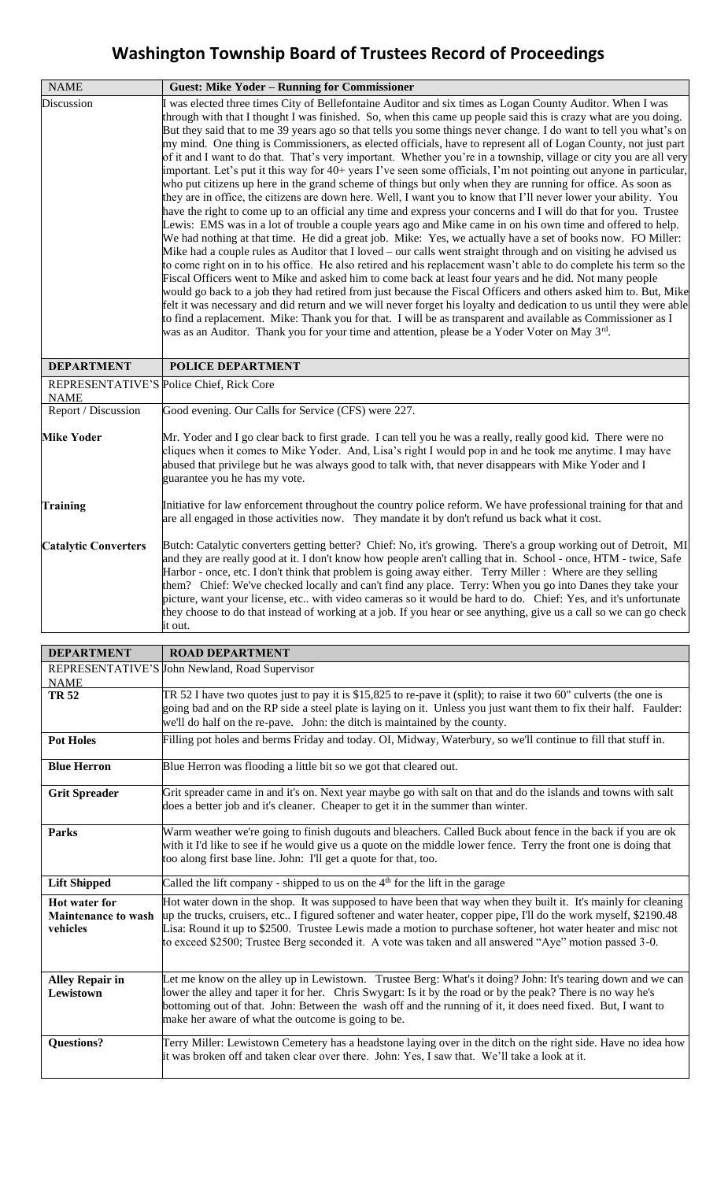| <b>NAME</b>                 | <b>Guest: Mike Yoder - Running for Commissioner</b>                                                                                                                                                                                                                                                                                                                                                                                                                                                                                                                                                                                                                                                                                                                                                                                                                                                                                                                                                                                                                                                                                                                                                                                                                                                                                                                                                                                                                                                                                                                                                                                                                                                                                                                                                                                                                                                                                                                                                                                                                                                                   |
|-----------------------------|-----------------------------------------------------------------------------------------------------------------------------------------------------------------------------------------------------------------------------------------------------------------------------------------------------------------------------------------------------------------------------------------------------------------------------------------------------------------------------------------------------------------------------------------------------------------------------------------------------------------------------------------------------------------------------------------------------------------------------------------------------------------------------------------------------------------------------------------------------------------------------------------------------------------------------------------------------------------------------------------------------------------------------------------------------------------------------------------------------------------------------------------------------------------------------------------------------------------------------------------------------------------------------------------------------------------------------------------------------------------------------------------------------------------------------------------------------------------------------------------------------------------------------------------------------------------------------------------------------------------------------------------------------------------------------------------------------------------------------------------------------------------------------------------------------------------------------------------------------------------------------------------------------------------------------------------------------------------------------------------------------------------------------------------------------------------------------------------------------------------------|
| Discussion                  | I was elected three times City of Bellefontaine Auditor and six times as Logan County Auditor. When I was<br>through with that I thought I was finished. So, when this came up people said this is crazy what are you doing.<br>But they said that to me 39 years ago so that tells you some things never change. I do want to tell you what's on<br>my mind. One thing is Commissioners, as elected officials, have to represent all of Logan County, not just part<br>of it and I want to do that. That's very important. Whether you're in a township, village or city you are all very<br>important. Let's put it this way for 40+ years I've seen some officials, I'm not pointing out anyone in particular,<br>who put citizens up here in the grand scheme of things but only when they are running for office. As soon as<br>they are in office, the citizens are down here. Well, I want you to know that I'll never lower your ability. You<br>have the right to come up to an official any time and express your concerns and I will do that for you. Trustee<br>Lewis: EMS was in a lot of trouble a couple years ago and Mike came in on his own time and offered to help.<br>We had nothing at that time. He did a great job. Mike: Yes, we actually have a set of books now. FO Miller:<br>Mike had a couple rules as Auditor that I loved – our calls went straight through and on visiting he advised us<br>to come right on in to his office. He also retired and his replacement wasn't able to do complete his term so the<br>Fiscal Officers went to Mike and asked him to come back at least four years and he did. Not many people<br>would go back to a job they had retired from just because the Fiscal Officers and others asked him to. But, Mike<br>felt it was necessary and did return and we will never forget his loyalty and dedication to us until they were able<br>to find a replacement. Mike: Thank you for that. I will be as transparent and available as Commissioner as I<br>was as an Auditor. Thank you for your time and attention, please be a Yoder Voter on May 3rd. |
| <b>DEPARTMENT</b>           | POLICE DEPARTMENT                                                                                                                                                                                                                                                                                                                                                                                                                                                                                                                                                                                                                                                                                                                                                                                                                                                                                                                                                                                                                                                                                                                                                                                                                                                                                                                                                                                                                                                                                                                                                                                                                                                                                                                                                                                                                                                                                                                                                                                                                                                                                                     |
| <b>NAME</b>                 | REPRESENTATIVE'S Police Chief, Rick Core                                                                                                                                                                                                                                                                                                                                                                                                                                                                                                                                                                                                                                                                                                                                                                                                                                                                                                                                                                                                                                                                                                                                                                                                                                                                                                                                                                                                                                                                                                                                                                                                                                                                                                                                                                                                                                                                                                                                                                                                                                                                              |
| Report / Discussion         | Good evening. Our Calls for Service (CFS) were 227.                                                                                                                                                                                                                                                                                                                                                                                                                                                                                                                                                                                                                                                                                                                                                                                                                                                                                                                                                                                                                                                                                                                                                                                                                                                                                                                                                                                                                                                                                                                                                                                                                                                                                                                                                                                                                                                                                                                                                                                                                                                                   |
| <b>Mike Yoder</b>           | Mr. Yoder and I go clear back to first grade. I can tell you he was a really, really good kid. There were no<br>cliques when it comes to Mike Yoder. And, Lisa's right I would pop in and he took me anytime. I may have<br>abused that privilege but he was always good to talk with, that never disappears with Mike Yoder and I<br>guarantee you he has my vote.                                                                                                                                                                                                                                                                                                                                                                                                                                                                                                                                                                                                                                                                                                                                                                                                                                                                                                                                                                                                                                                                                                                                                                                                                                                                                                                                                                                                                                                                                                                                                                                                                                                                                                                                                   |
| Training                    | Initiative for law enforcement throughout the country police reform. We have professional training for that and<br>are all engaged in those activities now. They mandate it by don't refund us back what it cost.                                                                                                                                                                                                                                                                                                                                                                                                                                                                                                                                                                                                                                                                                                                                                                                                                                                                                                                                                                                                                                                                                                                                                                                                                                                                                                                                                                                                                                                                                                                                                                                                                                                                                                                                                                                                                                                                                                     |
| <b>Catalytic Converters</b> | Butch: Catalytic converters getting better? Chief: No, it's growing. There's a group working out of Detroit, MI<br>and they are really good at it. I don't know how people aren't calling that in. School - once, HTM - twice, Safe<br>Harbor - once, etc. I don't think that problem is going away either. Terry Miller: Where are they selling<br>them? Chief: We've checked locally and can't find any place. Terry: When you go into Danes they take your<br>picture, want your license, etc with video cameras so it would be hard to do. Chief: Yes, and it's unfortunate<br>they choose to do that instead of working at a job. If you hear or see anything, give us a call so we can go check<br>it out.                                                                                                                                                                                                                                                                                                                                                                                                                                                                                                                                                                                                                                                                                                                                                                                                                                                                                                                                                                                                                                                                                                                                                                                                                                                                                                                                                                                                      |

| <b>DEPARTMENT</b>          | <b>ROAD DEPARTMENT</b>                                                                                             |
|----------------------------|--------------------------------------------------------------------------------------------------------------------|
|                            | REPRESENTATIVE'S John Newland, Road Supervisor                                                                     |
| <b>NAME</b>                |                                                                                                                    |
| <b>TR 52</b>               | TR 52 I have two quotes just to pay it is \$15,825 to re-pave it (split); to raise it two 60" culverts (the one is |
|                            | going bad and on the RP side a steel plate is laying on it. Unless you just want them to fix their half. Faulder:  |
|                            | we'll do half on the re-pave. John: the ditch is maintained by the county.                                         |
| <b>Pot Holes</b>           | Filling pot holes and berms Friday and today. OI, Midway, Waterbury, so we'll continue to fill that stuff in.      |
| <b>Blue Herron</b>         | Blue Herron was flooding a little bit so we got that cleared out.                                                  |
| <b>Grit Spreader</b>       | Grit spreader came in and it's on. Next year maybe go with salt on that and do the islands and towns with salt     |
|                            | does a better job and it's cleaner. Cheaper to get it in the summer than winter.                                   |
| <b>Parks</b>               | Warm weather we're going to finish dugouts and bleachers. Called Buck about fence in the back if you are ok        |
|                            | with it I'd like to see if he would give us a quote on the middle lower fence. Terry the front one is doing that   |
|                            | too along first base line. John: I'll get a quote for that, too.                                                   |
|                            |                                                                                                                    |
| <b>Lift Shipped</b>        | Called the lift company - shipped to us on the $4th$ for the lift in the garage                                    |
| <b>Hot water for</b>       | Hot water down in the shop. It was supposed to have been that way when they built it. It's mainly for cleaning     |
| <b>Maintenance to wash</b> | up the trucks, cruisers, etc I figured softener and water heater, copper pipe, I'll do the work myself, \$2190.48  |
| vehicles                   | Lisa: Round it up to \$2500. Trustee Lewis made a motion to purchase softener, hot water heater and misc not       |
|                            | to exceed \$2500; Trustee Berg seconded it. A vote was taken and all answered "Aye" motion passed 3-0.             |
|                            |                                                                                                                    |
| <b>Alley Repair in</b>     | Let me know on the alley up in Lewistown. Trustee Berg: What's it doing? John: It's tearing down and we can        |
| Lewistown                  | lower the alley and taper it for her. Chris Swygart: Is it by the road or by the peak? There is no way he's        |
|                            | bottoming out of that. John: Between the wash off and the running of it, it does need fixed. But, I want to        |
|                            | make her aware of what the outcome is going to be.                                                                 |
| <b>Questions?</b>          | Terry Miller: Lewistown Cemetery has a headstone laying over in the ditch on the right side. Have no idea how      |
|                            | it was broken off and taken clear over there. John: Yes, I saw that. We'll take a look at it.                      |
|                            |                                                                                                                    |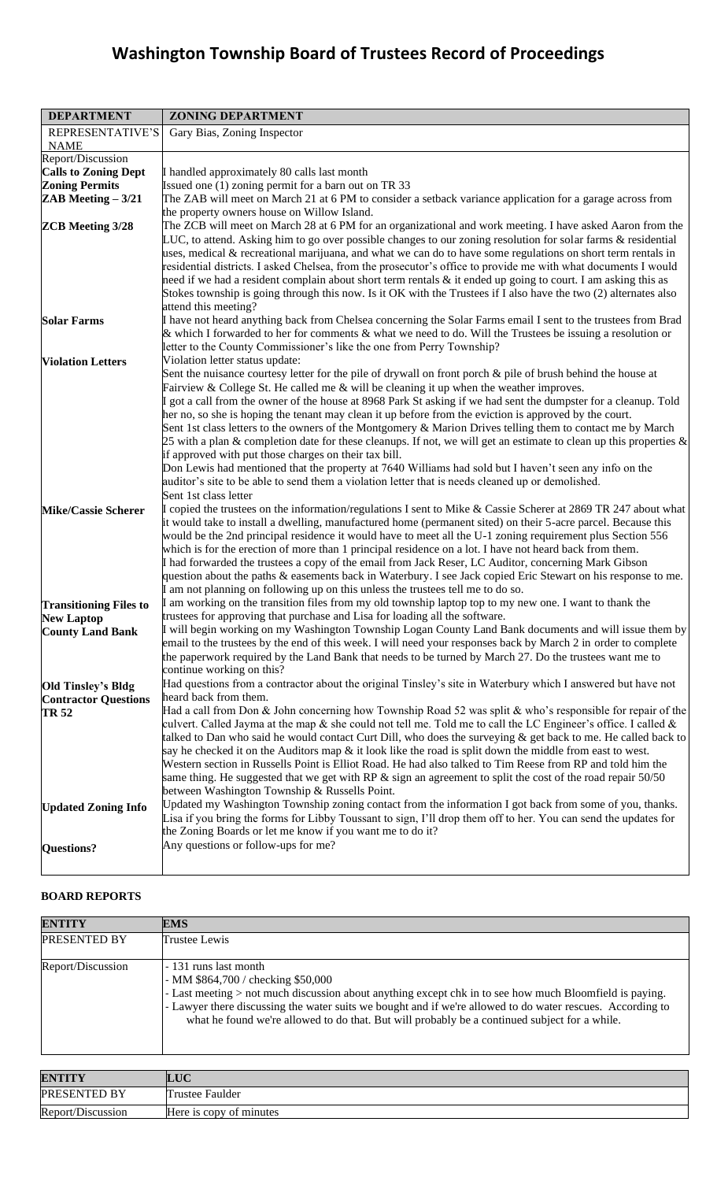| <b>DEPARTMENT</b>             | <b>ZONING DEPARTMENT</b>                                                                                                                                                                                                                                                                                                                   |
|-------------------------------|--------------------------------------------------------------------------------------------------------------------------------------------------------------------------------------------------------------------------------------------------------------------------------------------------------------------------------------------|
| REPRESENTATIVE'S              | Gary Bias, Zoning Inspector                                                                                                                                                                                                                                                                                                                |
| <b>NAME</b>                   |                                                                                                                                                                                                                                                                                                                                            |
| Report/Discussion             |                                                                                                                                                                                                                                                                                                                                            |
| <b>Calls to Zoning Dept</b>   | I handled approximately 80 calls last month                                                                                                                                                                                                                                                                                                |
| <b>Zoning Permits</b>         | Issued one (1) zoning permit for a barn out on TR 33                                                                                                                                                                                                                                                                                       |
| ZAB Meeting $-3/21$           | The ZAB will meet on March 21 at 6 PM to consider a setback variance application for a garage across from                                                                                                                                                                                                                                  |
|                               | the property owners house on Willow Island.                                                                                                                                                                                                                                                                                                |
| <b>ZCB</b> Meeting 3/28       | The ZCB will meet on March 28 at 6 PM for an organizational and work meeting. I have asked Aaron from the<br>LUC, to attend. Asking him to go over possible changes to our zoning resolution for solar farms & residential<br>uses, medical & recreational marijuana, and what we can do to have some regulations on short term rentals in |
|                               | residential districts. I asked Chelsea, from the prosecutor's office to provide me with what documents I would<br>need if we had a resident complain about short term rentals & it ended up going to court. I am asking this as                                                                                                            |
|                               | Stokes township is going through this now. Is it OK with the Trustees if I also have the two (2) alternates also<br>attend this meeting?                                                                                                                                                                                                   |
| <b>Solar Farms</b>            | I have not heard anything back from Chelsea concerning the Solar Farms email I sent to the trustees from Brad                                                                                                                                                                                                                              |
|                               | & which I forwarded to her for comments $\&$ what we need to do. Will the Trustees be issuing a resolution or<br>letter to the County Commissioner's like the one from Perry Township?                                                                                                                                                     |
| <b>Violation Letters</b>      | Violation letter status update:                                                                                                                                                                                                                                                                                                            |
|                               | Sent the nuisance courtesy letter for the pile of drywall on front porch $\&$ pile of brush behind the house at                                                                                                                                                                                                                            |
|                               | Fairview & College St. He called me $\&$ will be cleaning it up when the weather improves.                                                                                                                                                                                                                                                 |
|                               | I got a call from the owner of the house at 8968 Park St asking if we had sent the dumpster for a cleanup. Told                                                                                                                                                                                                                            |
|                               | her no, so she is hoping the tenant may clean it up before from the eviction is approved by the court.<br>Sent 1st class letters to the owners of the Montgomery & Marion Drives telling them to contact me by March                                                                                                                       |
|                               | 25 with a plan $\&$ completion date for these cleanups. If not, we will get an estimate to clean up this properties $\&$                                                                                                                                                                                                                   |
|                               | if approved with put those charges on their tax bill.                                                                                                                                                                                                                                                                                      |
|                               | Don Lewis had mentioned that the property at 7640 Williams had sold but I haven't seen any info on the                                                                                                                                                                                                                                     |
|                               | auditor's site to be able to send them a violation letter that is needs cleaned up or demolished.                                                                                                                                                                                                                                          |
|                               | Sent 1st class letter                                                                                                                                                                                                                                                                                                                      |
| <b>Mike/Cassie Scherer</b>    | I copied the trustees on the information/regulations I sent to Mike & Cassie Scherer at 2869 TR 247 about what<br>it would take to install a dwelling, manufactured home (permanent sited) on their 5-acre parcel. Because this                                                                                                            |
|                               | would be the 2nd principal residence it would have to meet all the U-1 zoning requirement plus Section 556<br>which is for the erection of more than 1 principal residence on a lot. I have not heard back from them.                                                                                                                      |
|                               | I had forwarded the trustees a copy of the email from Jack Reser, LC Auditor, concerning Mark Gibson                                                                                                                                                                                                                                       |
|                               | question about the paths & easements back in Waterbury. I see Jack copied Eric Stewart on his response to me.<br>I am not planning on following up on this unless the trustees tell me to do so.                                                                                                                                           |
| <b>Transitioning Files to</b> | I am working on the transition files from my old township laptop top to my new one. I want to thank the                                                                                                                                                                                                                                    |
| <b>New Laptop</b>             | trustees for approving that purchase and Lisa for loading all the software.                                                                                                                                                                                                                                                                |
| <b>County Land Bank</b>       | I will begin working on my Washington Township Logan County Land Bank documents and will issue them by<br>email to the trustees by the end of this week. I will need your responses back by March 2 in order to complete<br>the paperwork required by the Land Bank that needs to be turned by March 27. Do the trustees want me to        |
|                               | continue working on this?                                                                                                                                                                                                                                                                                                                  |
| <b>Old Tinsley's Bldg</b>     | Had questions from a contractor about the original Tinsley's site in Waterbury which I answered but have not                                                                                                                                                                                                                               |
| <b>Contractor Questions</b>   | heard back from them.                                                                                                                                                                                                                                                                                                                      |
| <b>TR 52</b>                  | Had a call from Don & John concerning how Township Road 52 was split & who's responsible for repair of the                                                                                                                                                                                                                                 |
|                               | culvert. Called Jayma at the map $\&$ she could not tell me. Told me to call the LC Engineer's office. I called $\&$<br>talked to Dan who said he would contact Curt Dill, who does the surveying $\&$ get back to me. He called back to                                                                                                   |
|                               | say he checked it on the Auditors map $\&$ it look like the road is split down the middle from east to west.                                                                                                                                                                                                                               |
|                               | Western section in Russells Point is Elliot Road. He had also talked to Tim Reese from RP and told him the<br>same thing. He suggested that we get with RP $\&$ sign an agreement to split the cost of the road repair 50/50                                                                                                               |
|                               | between Washington Township & Russells Point.                                                                                                                                                                                                                                                                                              |
| <b>Updated Zoning Info</b>    | Updated my Washington Township zoning contact from the information I got back from some of you, thanks.<br>Lisa if you bring the forms for Libby Toussant to sign, I'll drop them off to her. You can send the updates for<br>the Zoning Boards or let me know if you want me to do it?                                                    |
| <b>Questions?</b>             | Any questions or follow-ups for me?                                                                                                                                                                                                                                                                                                        |

## **BOARD REPORTS**

| <b>ENTITY</b>     | <b>EMS</b>                                                                                                                                                                                                                                                                                                                                                                              |
|-------------------|-----------------------------------------------------------------------------------------------------------------------------------------------------------------------------------------------------------------------------------------------------------------------------------------------------------------------------------------------------------------------------------------|
| PRESENTED BY      | Trustee Lewis                                                                                                                                                                                                                                                                                                                                                                           |
| Report/Discussion | - 131 runs last month<br>- MM $$864,700 /$ checking $$50,000$<br>- Last meeting > not much discussion about anything except chk in to see how much Bloomfield is paying.<br>- Lawyer there discussing the water suits we bought and if we're allowed to do water rescues. According to<br>what he found we're allowed to do that. But will probably be a continued subject for a while. |

| <b>ENTITY</b>       | <b>LUC</b>              |
|---------------------|-------------------------|
| <b>PRESENTED BY</b> | Trustee Faulder         |
| Report/Discussion   | Here is copy of minutes |